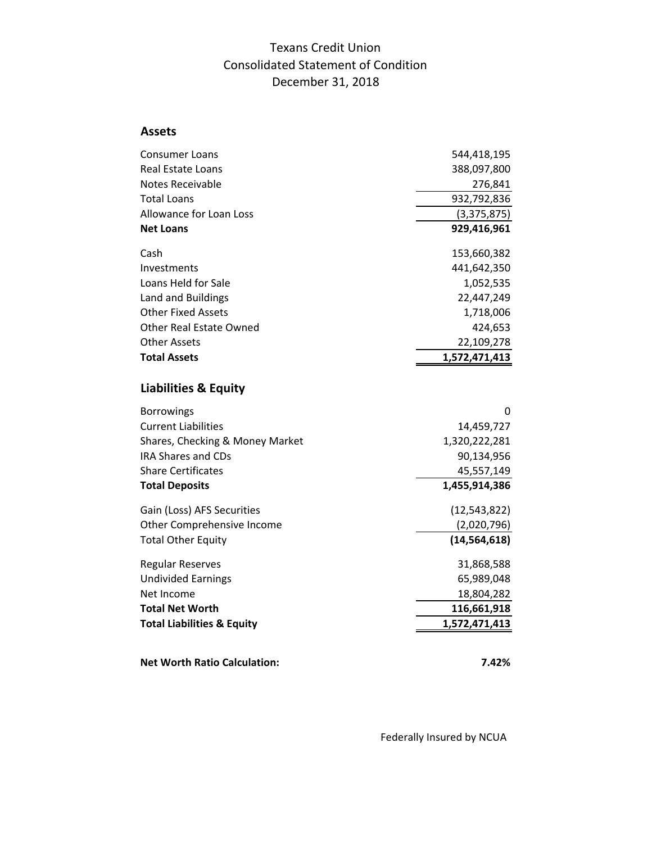## Texans Credit Union Consolidated Statement of Condition December 31, 2018

## **Assets**

| <b>Consumer Loans</b>                 | 544,418,195    |
|---------------------------------------|----------------|
| Real Estate Loans                     | 388,097,800    |
| Notes Receivable                      | 276,841        |
| <b>Total Loans</b>                    | 932,792,836    |
| Allowance for Loan Loss               | (3,375,875)    |
| <b>Net Loans</b>                      | 929,416,961    |
| Cash                                  | 153,660,382    |
| Investments                           | 441,642,350    |
| Loans Held for Sale                   | 1,052,535      |
| Land and Buildings                    | 22,447,249     |
| <b>Other Fixed Assets</b>             | 1,718,006      |
| <b>Other Real Estate Owned</b>        | 424,653        |
| <b>Other Assets</b>                   | 22,109,278     |
| <b>Total Assets</b>                   | 1,572,471,413  |
| <b>Liabilities &amp; Equity</b>       |                |
| <b>Borrowings</b>                     | 0              |
| <b>Current Liabilities</b>            | 14,459,727     |
| Shares, Checking & Money Market       | 1,320,222,281  |
| <b>IRA Shares and CDs</b>             | 90,134,956     |
| <b>Share Certificates</b>             | 45,557,149     |
| <b>Total Deposits</b>                 | 1,455,914,386  |
| Gain (Loss) AFS Securities            | (12, 543, 822) |
| Other Comprehensive Income            | (2,020,796)    |
| <b>Total Other Equity</b>             | (14, 564, 618) |
| <b>Regular Reserves</b>               | 31,868,588     |
| <b>Undivided Earnings</b>             | 65,989,048     |
| Net Income                            | 18,804,282     |
| <b>Total Net Worth</b>                | 116,661,918    |
| <b>Total Liabilities &amp; Equity</b> | 1,572,471,413  |
|                                       |                |
| <b>Net Worth Ratio Calculation:</b>   | 7.42%          |

Federally Insured by NCUA